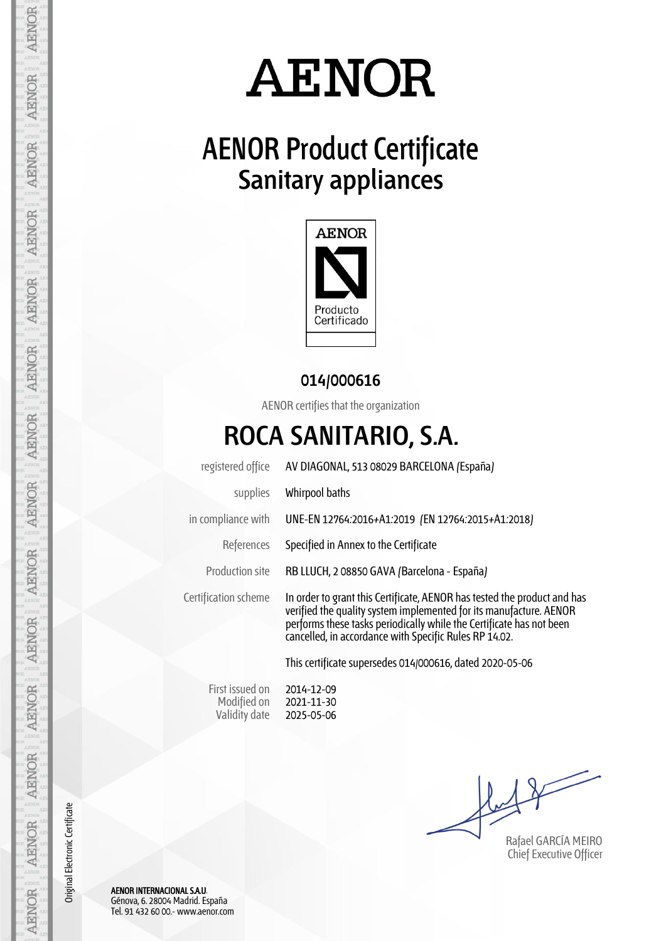# **AENOR**

## **AENOR Product Certificate Sanitary appliances**



#### **014/000616**

AENOR certifies that the organization

### **ROCA SANITARIO, S.A.**

| registered office    | AV DIAGONAL, 513 08029 BARCELONA (España)                                                                                                                                                                                                                                        |  |  |
|----------------------|----------------------------------------------------------------------------------------------------------------------------------------------------------------------------------------------------------------------------------------------------------------------------------|--|--|
| supplies             | Whirpool baths                                                                                                                                                                                                                                                                   |  |  |
| in compliance with   | UNE-EN 12764:2016+A1:2019 (EN 12764:2015+A1:2018)                                                                                                                                                                                                                                |  |  |
| References           | Specified in Annex to the Certificate                                                                                                                                                                                                                                            |  |  |
| Production site      | RB LLUCH, 2 08850 GAVA (Barcelona - España)                                                                                                                                                                                                                                      |  |  |
| Certification scheme | In order to grant this Certificate, AENOR has tested the product and has<br>verified the quality system implemented for its manufacture. AENOR<br>performs these tasks periodically while the Certificate has not been<br>cancelled, in accordance with Specific Rules RP 14.02. |  |  |
|                      | This certificate supersedes 014/000616, dated 2020-05-06                                                                                                                                                                                                                         |  |  |

First issued on Modified on Validity date

2014-12-09 2021-11-30 2025-05-06

Rafael GARCÍA MEIRO Chief Executive Officer

AENOR INTERNACIONAL S.A.U. Génova, 6. 28004 Madrid. España Tel. 91 432 60 00.- www.aenor.com

Original Electronic Certificate

Original Electronic Certificate

AENOR

AENOR

**AENOR**